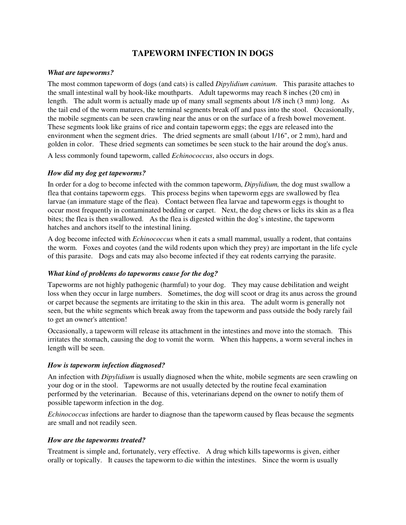# **TAPEWORM INFECTION IN DOGS**

#### *What are tapeworms?*

The most common tapeworm of dogs (and cats) is called *Dipylidium caninum*. This parasite attaches to the small intestinal wall by hook-like mouthparts. Adult tapeworms may reach 8 inches (20 cm) in length. The adult worm is actually made up of many small segments about 1/8 inch (3 mm) long. As the tail end of the worm matures, the terminal segments break off and pass into the stool. Occasionally, the mobile segments can be seen crawling near the anus or on the surface of a fresh bowel movement. These segments look like grains of rice and contain tapeworm eggs; the eggs are released into the environment when the segment dries. The dried segments are small (about 1/16", or 2 mm), hard and golden in color. These dried segments can sometimes be seen stuck to the hair around the dog's anus.

A less commonly found tapeworm, called *Echinococcus*, also occurs in dogs.

## *How did my dog get tapeworms?*

In order for a dog to become infected with the common tapeworm, *Dipylidium,* the dog must swallow a flea that contains tapeworm eggs. This process begins when tapeworm eggs are swallowed by flea larvae (an immature stage of the flea). Contact between flea larvae and tapeworm eggs is thought to occur most frequently in contaminated bedding or carpet. Next, the dog chews or licks its skin as a flea bites; the flea is then swallowed. As the flea is digested within the dog's intestine, the tapeworm hatches and anchors itself to the intestinal lining.

A dog become infected with *Echinococcus* when it eats a small mammal, usually a rodent, that contains the worm. Foxes and coyotes (and the wild rodents upon which they prey) are important in the life cycle of this parasite. Dogs and cats may also become infected if they eat rodents carrying the parasite.

## *What kind of problems do tapeworms cause for the dog?*

Tapeworms are not highly pathogenic (harmful) to your dog. They may cause debilitation and weight loss when they occur in large numbers. Sometimes, the dog will scoot or drag its anus across the ground or carpet because the segments are irritating to the skin in this area. The adult worm is generally not seen, but the white segments which break away from the tapeworm and pass outside the body rarely fail to get an owner's attention!

Occasionally, a tapeworm will release its attachment in the intestines and move into the stomach. This irritates the stomach, causing the dog to vomit the worm. When this happens, a worm several inches in length will be seen.

#### *How is tapeworm infection diagnosed?*

An infection with *Dipylidium* is usually diagnosed when the white, mobile segments are seen crawling on your dog or in the stool. Tapeworms are not usually detected by the routine fecal examination performed by the veterinarian. Because of this, veterinarians depend on the owner to notify them of possible tapeworm infection in the dog.

*Echinococcus* infections are harder to diagnose than the tapeworm caused by fleas because the segments are small and not readily seen.

#### *How are the tapeworms treated?*

Treatment is simple and, fortunately, very effective. A drug which kills tapeworms is given, either orally or topically. It causes the tapeworm to die within the intestines. Since the worm is usually